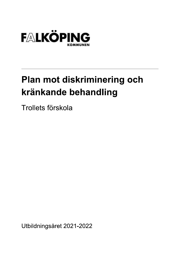

# **Plan mot diskriminering och** kränkande behandling

Trollets förskola

# Utbildningsåret 2021-2022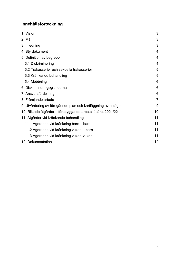#### Innehållsförteckning

| 1. Vision                                                    | 3              |
|--------------------------------------------------------------|----------------|
| 2. Mål                                                       | 3              |
| 3. Inledning                                                 | 3              |
| 4. Styrdokument                                              | 4              |
| 5. Definition av begrepp                                     | 4              |
| 5.1 Diskriminering                                           | $\overline{4}$ |
| 5.2 Trakasserier och sexuella trakasserier                   | 5              |
| 5.3 Kränkande behandling                                     | 5              |
| 5.4 Mobbning                                                 | 6              |
| 6. Diskrimineringsgrunderna                                  | 6              |
| 7. Ansvarsfördelning                                         | 6              |
| 8. Främjande arbete                                          | $\overline{7}$ |
| 9. Utvärdering av föregående plan och kartläggning av nuläge | 9              |
| 10. Riktade åtgärder – förebyggande arbete läsåret 2021/22   | 10             |
| 11. Åtgärder vid kränkande behandling                        | 11             |
| 11.1 Agerande vid kränkning barn - barn                      | 11             |
| 11.2 Agerande vid kränkning vuxen – barn                     | 11             |
| 11.3 Agerande vid kränkning vuxen-vuxen                      | 11             |
| 12. Dokumentation                                            | 12             |

 $\overline{c}$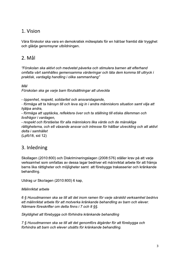## 1. Vision

Våra förskolor ska vara en demokratisk mötesplats för en hållbar framtid där trygghet och glädje genomsyrar utbildningen.

#### 2. Mål

"Förskolan ska aktivt och medvetet påverka och stimulera barnen att efterhand omfatta vårt samhälles gemensamma värderingar och låta dem komma till uttryck i praktisk, vardaglig handling i olika sammanhang"

Mål

Förskolan ska ge varje barn förutsättningar att utveckla

- öppenhet, respekt, solidaritet och ansvarstagande,

- förmåga att ta hänsyn till och leva sig in i andra människors situation samt vilja att hjälpa andra,

- förmåga att upptäcka, reflektera över och ta ställning till etiska dilemman och livsfrågor i vardagen,

- respekt och förståelse för alla människors lika värde och de mänskliga rättigheterna, och ett växande ansvar och intresse för hållbar utveckling och att aktivt delta i samhället

(Lpfö18, sid 12)

#### 3. Inledning

Skollagen (2010:800) och Diskrimineringslagen (2008:576) ställer krav på att varje verksamhet som omfattas av dessa lagar bedriver ett målinriktat arbete för att främja barns lika rättigheter och möjligheter samt att förebygga trakasserier och kränkande behandling.

Utdrag ur Skollagen (2010:800) 6 kap,

Målinriktat arbete

6 § Huvudmannen ska se till att det inom ramen för varje särskild verksamhet bedrivs ett målinriktat arbete för att motverka kränkande behandling av barn och elever. Närmare föreskrifter om detta finns i 7 och 8 §§.

Skyldighet att förebygga och förhindra kränkande behandling

7 § Huvudmannen ska se till att det genomförs åtgärder för att förebygga och förhindra att barn och elever utsätts för kränkande behandling.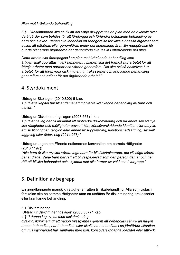Plan mot kränkande behandling

8 § Huvudmannen ska se till att det varje år upprättas en plan med en översikt över de åtgärder som behövs för att förebygga och förhindra kränkande behandling av barn och elever. Planen ska innehålla en redogörelse för vilka av dessa åtgärder som avses att påbörjas eller genomföras under det kommande året. En redogörelse för hur de planerade åtgärderna har genomförts ska tas in i efterföljande års plan.

Detta arbete ska återspeglas i en plan mot kränkande behandling som årligen skall upprättas i verksamheten. I planen ska det framgå hur arbetet för att främja arbetet med normer och värden genomförs. Det ska också beskrivas hur arbetet för att förebygga diskriminering, trakasserier och kränkande behandling genomförs och rutiner för det åtgärdande arbetet."

#### 4. Styrdokument

Utdrag ur Skollagen (2010:800) 6 kap.

1 § "Detta kapitel har till ändamål att motverka kränkande behandling av barn och elever."

Utdrag ur Diskrimineringslagen (2008:567) 1 kap.

1 § "Denna lag har till ändamål att motverka diskriminering och på andra sätt främja lika rättigheter och möjligheter oavsett kön, könsöverskridande identitet eller uttryck, etnisk tillhörighet, religion eller annan trosuppfattning, funktionsnedsättning, sexuell läggning eller ålder. Lag (2014:958)."

Utdrag ur Lagen om Förenta nationernas konvention om barnets rättigheter  $(2018:1197)$ :

"Alla barn är lika mycket värda. Inga barn får bli diskriminerade, det vill säga sämre behandlade. Varje barn har rätt att bli respekterad som den person den är och har rätt att bli lika behandlad och skyddas mot alla former av våld och övergrepp."

## 5. Definition av begrepp

En grundläggande mänsklig rättighet är rätten till likabehandling. Alla som vistas i förskolan ska ha samma rättigheter utan att utsättas för diskriminering, trakasserier eller kränkande behandling.

5.1 Diskriminering Utdrag ur Diskrimineringslagen (2008:567) 1 kap. 4 § "I denna lag avses med diskriminering direkt diskriminering: att någon missgynnas genom att behandlas sämre än någon annan behandlas, har behandlats eller skulle ha behandlats i en jämförbar situation, om missgynnandet har samband med kön, könsöverskridande identitet eller uttryck,

 $\overline{4}$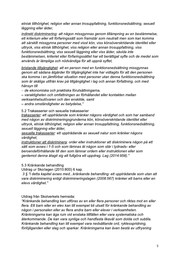etnisk tillhörighet, religion eller annan trosuppfattning, funktionsnedsättning, sexuell läggning eller ålder,

indirekt diskriminering: att någon missgynnas genom tillämpning av en bestämmelse, ett kriterium eller ett förfaringssätt som framstår som neutralt men som kan komma att särskilt missgynna personer med visst kön, viss könsöverskridande identitet eller uttryck, viss etnisk tillhörighet, viss religion eller annan trosuppfattning, viss funktionsnedsättning, viss sexuell läggning eller viss ålder, såvida inte bestämmelsen, kriteriet eller förfaringssättet har ett berättigat syfte och de medel som används är lämpliga och nödvändiga för att uppnå syftet,

bristande tillgänglighet: att en person med en funktionsnedsättning missgynnas genom att sådana åtgärder för tillgänglighet inte har vidtagits för att den personen ska komma i en jämförbar situation med personer utan denna funktionsnedsättning som är skäliga utifrån krav på tillgänglighet i lag och annan författning, och med hänsyn till

- de ekonomiska och praktiska förutsättningarna,

- varaktigheten och omfattningen av förhållandet eller kontakten mellan verksamhetsutövaren och den enskilde, samt

- andra omständigheter av betydelse,"

5.2 Trakasserier och sexuella trakasserier

trakasserier: ett uppträdande som kränker någons värdighet och som har samband med någon av diskrimineringsgrunderna kön, könsöverskridande identitet eller uttryck, etnisk tillhörighet, religion eller annan trosuppfattning, funktionsnedsättning, sexuell läggning eller ålder,

sexuella trakasserier: ett uppträdande av sexuell natur som kränker någons värdighet,

instruktioner att diskriminera: order eller instruktioner att diskriminera någon på ett sätt som avses i 1-5 och som lämnas åt någon som står i lydnads- eller beroendeförhållande till den som lämnar ordern eller instruktionen eller som gentemot denna åtagit sig att fullgöra ett uppdrag. Lag (2014:958)."

5.3 Kränkande behandling

Utdrag ur Skollagen (2010:800) 6 kap.

3 § "I detta kapitel avses med...kränkande behandling: ett uppträdande som utan att vara diskriminering enligt diskrimineringslagen (2008:567) kränker ett barns eller en elevs värdighet."

#### Utdrag från Skolverkets hemsida:

"Kränkande behandling kan utföras av en eller flera personer och riktas mot en eller flera. Ett barn eller en elev kan till exempel bli utsatt för kränkande behandling av någon i personalen eller av flera andra barn eller elever i verksamheten. Kränkningarna kan äga rum vid enstaka tillfällen eller vara systematiska och återkommande. De kan vara synliga och handfasta likaväl som dolda och subtila. Kränkande behandling kan till exempel vara nedsättande ord, ryktesspridning, förlöjliganden eller slag och sparkar. Kränkningarna kan även bestå av utfrysning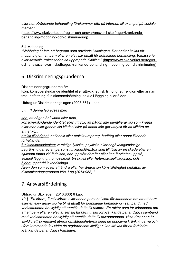eller hot. Kränkande behandling förekommer ofta på internet, till exempel på sociala medier."

(https://www.skolverket.se/regler-och-ansvar/ansvar-i-skolfragor/krankandebehandling-mobbning-och-diskriminering)

#### 5.4 Mobbning

"Mobbning är inte ett begrepp som används i skollagen. Det brukar kallas för mobbning om ett barn eller en elev blir utsatt för kränkande behandling, trakasserier eller sexuella trakasserier vid upprepade tillfällen." (https://www.skolverket.se/regleroch-ansvar/ansvar-i-skolfragor/krankande-behandling-mobbning-och-diskriminering)

#### 6. Diskrimineringsgrunderna

Diskrimineringsgrunderna är:

Kön, könsöverskridande identitet eller uttryck, etnisk tillhörighet, religion eller annan trosuppfattning, funktionsnedsättning, sexuell läggning eller ålder.

Utdrag ur Diskrimineringslagen (2008:567) 1 kap.

5 § "I denna lag avses med

kön: att någon är kvinna eller man,

könsöverskridande identitet eller uttryck: att någon inte identifierar sig som kvinna eller man eller genom sin klädsel eller på annat sätt ger uttryck för att tillhöra ett annat kön,

etnisk tillhörighet: nationellt eller etniskt ursprung, hudfärg eller annat liknande förhållande,

funktionsnedsättning: varaktiga fysiska, psykiska eller begåvningsmässiga begränsningar av en persons funktionsförmåga som till följd av en skada eller en sjukdom fanns vid födelsen, har uppstått därefter eller kan förväntas uppstå, sexuell läggning: homosexuell, bisexuell eller heterosexuell läggning, och ålder: uppnådd levnadslängd.

Även den som avser att ändra eller har ändrat sin könstillhörighet omfattas av diskrimineringsgrunden kön. Lag (2014:958)."

## 7. Ansvarsfördelning

#### Utdrag ur Skollagen (2010:800) 6 kap.

10 § "En lärare, förskollärare eller annan personal som får kännedom om att ett barn eller en elev anser sig ha blivit utsatt för kränkande behandling i samband med verksamheten är skyldig att anmäla detta till rektorn. En rektor som får kännedom om att ett barn eller en elev anser sig ha blivit utsatt för kränkande behandling i samband med verksamheten är skyldig att anmäla detta till huvudmannen. Huvudmannen är skyldig att skyndsamt utreda omständigheterna kring de uppgivna kränkningarna och i förekommande fall vidta de åtgärder som skäligen kan krävas för att förhindra kränkande behandling i framtiden.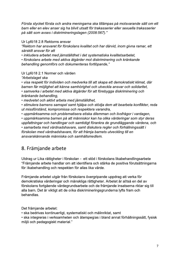Första stycket första och andra meningarna ska tillämpas på motsvarande sätt om ett barn eller en elev anser sig ha blivit utsatt för trakasserier eller sexuella trakasserier på sätt som avses i diskrimineringslagen (2008:567)."

#### Ur Lpfö18 2.8 Rektorns ansvar

"Rektorn har ansvaret för förskolans kvalitet och har därvid, inom givna ramar, ett särskilt ansvar för att

• inkludera arbetet med jämställdhet i det systematiska kvalitetsarbetet,

· förskolans arbete med aktiva åtgärder mot diskriminering och kränkande behandling genomförs och dokumenteras fortlöpande,"

#### Ur Lpfö18 2.1 Normer och värden

"Arbetslaget ska

• visa respekt för individen och medverka till att skapa ett demokratiskt klimat, där barnen får möjlighet att känna samhörighet och utveckla ansvar och solidaritet,

• samverka i arbetet med aktiva åtgärder för att förebygga diskriminering och kränkande behandling,

• medvetet och aktivt arbeta med jämställdhet,

• stimulera barnens samspel samt hjälpa och stödja dem att bearbeta konflikter, reda ut missförstånd, kompromissa och respektera varandra,

• uppmärksamma och problematisera etiska dilemman och livsfrågor i vardagen,

• uppmärksamma barnen på att människor kan ha olika värderingar som styr deras uppfattningar och handlingar och samtidigt förankra de grundläggande värdena, och

• samarbeta med vårdnadshavare, samt diskutera regler och förhållningssätt i förskolan med vårdnadshavare, för att främja barnets utveckling till en ansvarskännande människa och samhällsmedlem.

#### 8. Främjande arbete

Utdrag ur Lika rättigheter i förskolan - ett stöd i förskolans likabehandlingsarbete "Främjande arbete handlar om att identifiera och stärka de positiva förutsättningarna för likabehandling och respekten för allas lika värde.

Främjande arbetet utgår från förskolans övergripande uppdrag att verka för demokratiska värderingar och mänskliga rättigheter. Arbetet är alltså en del av förskolans fortgående värdegrundsarbete och de främjande insatserna riktar sig till alla barn. Det är viktigt att de olika diskrimineringsgrunderna lyfts fram och

behandlas.

Det främjande arbetet:

• ska bedrivas kontinuerligt, systematiskt och målinriktat, samt

· ska integreras i verksamheten och återspeglas i bland annat förhållningssätt, fysisk miljö och pedagogiskt material."

 $\overline{7}$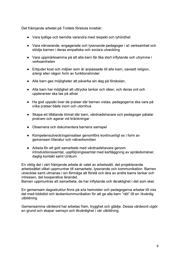Det främjande arbetet på Trollets förskola innebär:

- Vara tydliga och bemöta varandra med respekt och lyhördhet
- Vara närvarande, engagerade och lyssnande pedagoger i all verksamhet och stödja barnen i deras empatiska och sociala utveckling
- Vara uppmärksamma på att alla barn får lika stort inflytande och utrymme i verksamheten
- · Erbjuder kost och miljöer som är anpassade till alla barn, oavsett religion, allergi eller någon form av funktionshinder
- Alla barn ges möjligheter att påverka sin dag på förskolan,  $\bullet$
- · Alla barn har möjlighet att uttrycka tankar och idéer, och deras ord och upplevelser ska tas på allvar
- · Ha god uppsikt över de platser där barnen vistas, pedagogerna ska vara på olika platser både inom och utomhus
- Skapa ett tillåtande klimat där barn, vårdnadshavare och pedagoger påtalar problem och agerar vid kränkningar
- Observera och dokumentera barnens samspel
- Kompetensutvecklingsinsatser genomförs kontinuerligt ex i form av gemensam litteratur och nätverksmöten
- Arbeta för ett gott samarbete med vårdnadshavare genom introduktionssamtal, uppföljningssamtal med kartläggning av språkdomäner, daglig kontakt samt Unikum

En viktig del i vårt främjande arbete är valet av arbetssätt, det projekterande arbetssättet vilket uppmuntrar till samarbete, lyssnande och kommunikation. Barnen utvecklas samt utmanas i sin förmåga att förstå och lära av andra barns tankar och intressen, det kooperativa lärandet.

Barnen uppmuntras att samarbeta, de har inflytande och delaktighet i det som sker.

En gemensam dagsstruktur finns på alla hemvister och pedagogerna arbetar till viss del med bildstöd och teckenkommunikation för att ge alla barn "rätt" till en likvärdig utbildning.

Gemensamma värdeord har arbetas fram, trygghet och glädje. Dessa värdeord utgör en grund och skapar samsyn och likvärdighet i vår utbildning.

8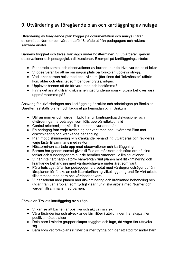## 9. Utvärdering av föregående plan och kartläggning av nuläge

Utvärdering av föregående plan bygger på dokumentation och analys utifrån delområdet Normer och värden Lpfö 18, både utifrån pedagogers och rektors samlade analys.

Barnens trygghet och trivsel kartläggs under höstterminen. Vi utvärderar genom observationer och pedagogiska diskussioner. Exempel på kartläggningsarbete:

- Planerade samtal och observationer av barnen, hur de trivs, var de helst leker.
- Vi observerar för att se om någon plats på förskolan upplevs otrygg.
- Vad leker barnen helst med och i vilka miljöer finns det "lekmönster" utifrån kön, ålder och etnicitet som behöver brytas/vidgas.
- Upplever barnen att de får vara med och bestämma?
- Finns det annat utifrån diskrimineringsgrunderna som vi vuxna behöver vara uppmärksamma på?

Ansvarig för utvärderingen och kartläggning är rektor och arbetslagen på förskolan. Därefter fastställs planen och läggs ut på hemsidan och i Unikum.

- · Utifrån normer och värden i Lpfö har vi kontinuerliga diskussioner och utvärderingar i arbetslaget som följs upp på reflektionstid
- Central arbetsmiljöenkät till all personal vartannat år.
- En pedagog från varje avdelning har varit med och utvärderat Plan mot diskriminering och kränkande behandling.
- Plan mot diskriminering och kränkande behandling utvärderas och revideras varje läsår tillsammans med rektor.
- Höstterminen startade upp med observationer och kartläggning.
- Barnen har genom samtal givits tillfälle att reflektera och sätta ord på sina tankar och funderingar om hur de bemöter varandra i olika situationer
- Vi har inte haft någon större samverkan runt planen mot diskriminering och kränkande behandling med vårdnadshavare under året som varit.
- På arbetslagsträffar har pedagogerna arbetat med värdegrundsfrågor utifrån läroplanen för förskolan och litteraturläsning vilket ligger i grund för vårt arbete tillsammans med barn och vårdnadshavare.
- Vi har arbetat med planen mot diskriminering och kränkande behandling och utgår ifrån vår läroplan som tydligt visar hur vi ska arbeta med Normer och värden tillsammans med barnen.

Förskolan Trollets kartläggning av nuläge:

- Vi kan se att barnen är positiva och aktiva i sin lek.
- Våra föränderliga och utvecklande lärmiljöer i utbildningen har skapat fler positiva mötesplatser.
- Dela barn i mindre grupper skapar trygghet och lugn, då vågar fler uttrycka sig.
- Barn som vet förskolans rutiner blir mer trygga och ger ett stöd för andra barn.

9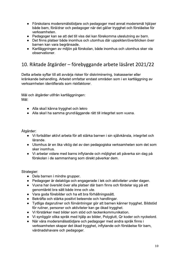- Förskolans modersmålstödjare och pedagoger med annat modersmål hjälper både barn, föräldrar och pedagoger när det gäller trygghet och förståelse för verksamheten.
- Pedagoger kan se att det till viss del kan förekomma uteslutning av barn.
- Det finns platser både inomhus och utomhus där uppsikten/överblicken över barnen kan vara begränsade.
- Kartläggningen av miljön på förskolan, både inomhus och utomhus sker via observationer.

## 10. Riktade åtgärder – förebyggande arbete läsåret 2021/22

Detta arbete syftar till att avvärja risker för diskriminering, trakasserier eller kränkande behandling. Arbetet omfattar endast områden som i en kartläggning av verksamheten identifierats som riskfaktorer.

Mål och åtgärder utifrån kartläggningen: Mål:

- Alla skall känna trygghet och lekro
- Alla skall ha samma grundläggande rätt till integritet som vuxna.

Åtgärder:

- Vi fortsätter aktivt arbeta för att stärka barnen i sin självkänsla, integritet och lärande.
- Utomhus är en lika viktig del av den pedagogiska verksamheten som det som sker inomhus.
- Vi arbetar vidare med barns inflytande och möjlighet att påverka sin dag på förskolan i de sammanhang som direkt påverkar dem.

Strategier:

- Dela barnen i mindre grupper.
- Pedagoger är delaktiga och engagerade i lek och aktiviteter under dagen.
- Vuxna har översikt över alla platser där barn finns och fördelar sig på ett genomtänkt bra sätt både inne och ute.
- Vara goda förebilder och ha ett bra förhållningssätt.
- Bekräfta och stärka positivt beteende och handlingar.  $\bullet$
- Tydliga dagsrutiner och förväntningar gör att barnen känner trygghet. Bildstöd för rutiner, personer och aktiviteter kan ge ökad trygghet.
- Vi förstärker med bilder som stöd och teckenkommunikation.  $\bullet$
- Vi synliggör olika språk med hjälp av bilder, Polyglutt, Qr koder och nyckelord.
- När våra modersmålsstödjare och pedagoger med andra språk finns i verksamheten skapar det ökad trygghet, inflytande och förståelse för barn, vårdnadshavare och pedagoger.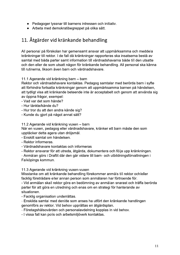- Pedagoger lyssnar till barnens intressen och initiativ.
- Arbeta med demokratibegreppet på olika sätt.

# 11. Åtgärder vid kränkande behandling

All personal på förskolan har gemensamt ansvar att uppmärksamma och meddela kränkningar till rektor. I de fall då kränkningar rapporteras ska insatserna bestå av samtal med båda parter samt information till vårdnadshavarna både till den utsatte och den eller de som utsatt någon för kränkande behandling. All personal ska känna till rutinerna, liksom även barn och vårdnadshavare.

11.1 Agerande vid kränkning barn - barn

Rektor och vårdnadshavare kontaktas. Pedagog samtalar med berörda barn i syfte att förhindra fortsatta kränkningar genom att uppmärksamma barnen på händelsen, att tydligt visa att kränkande beteende inte är acceptabelt och genom att använda sig av öppna frågor, exempel:

- Vad var det som hände?

- Hur tänkte/kände du?
- Hur tror du att den andra kände sig?
- Kunde du gjort på något annat sätt?

11.2 Agerande vid kränkning vuxen – barn

När en vuxen, pedagog eller vårdnadshavare, kränker ett barn måste den som upptäcker detta agera utan dröjsmål.

- Enskilt samtal om händelsen.
- Rektor informeras.
- Vårdnadshavare kontaktas och informeras
- Rektor ansvarar för att utreda, åtgärda, dokumentera och följa upp kränkningen.

- Anmälan görs i Draftit där den går vidare till barn- och utbildningsförvaltningen i Falköpings kommun.

11.3 Agerande vid kränkning vuxen-vuxen

Misstanke om att kränkande behandling förekommer anmäls till rektor och/eller facklig företrädare eller annan person som anmälaren har förtroende för.

- Vid anmälan skall rektor göra en bedömning av anmälan snarast och träffa berörda parter för att göra en utredning och enas om en strategi för hanterande av situationen

- Facklig organisation underrättas.
- Enskilda samtal med den/de som anses ha utfört den kränkande handlingen genomförs av rektor. Vid behov upprättas en åtgärdsplan.
- Företagshälsovården och personalavdelning kopplas in vid behov.
- I vissa fall kan polis och arbetsmiljöverk kontaktas.